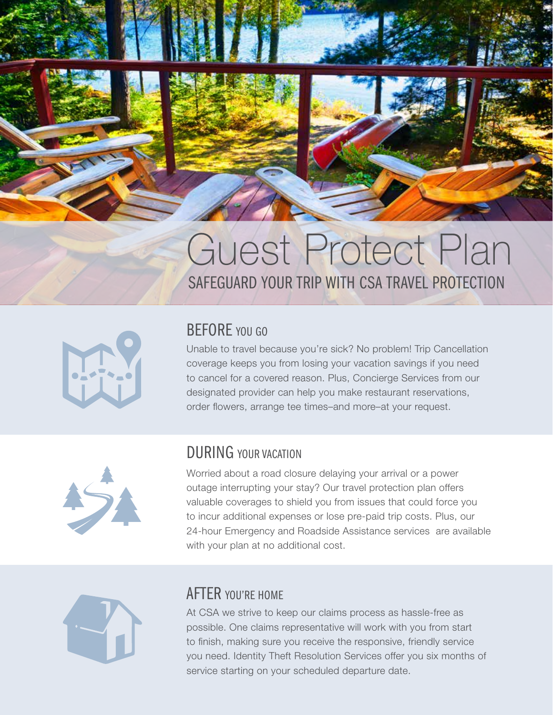

# SAFEGUARD YOUR TRIP WITH CSA TRAVEL PROTECTION Guest Protect Plan



### BEFORE YOU GO

Unable to travel because you're sick? No problem! Trip Cancellation coverage keeps you from losing your vacation savings if you need to cancel for a covered reason. Plus, Concierge Services from our designated provider can help you make restaurant reservations, order flowers, arrange tee times–and more–at your request.



### DURING YOUR VACATION

Worried about a road closure delaying your arrival or a power outage interrupting your stay? Our travel protection plan offers valuable coverages to shield you from issues that could force you to incur additional expenses or lose pre-paid trip costs. Plus, our 24-hour Emergency and Roadside Assistance services are available with your plan at no additional cost.



### AFTER YOU'RE HOME

At CSA we strive to keep our claims process as hassle-free as possible. One claims representative will work with you from start to finish, making sure you receive the responsive, friendly service you need. Identity Theft Resolution Services offer you six months of service starting on your scheduled departure date.